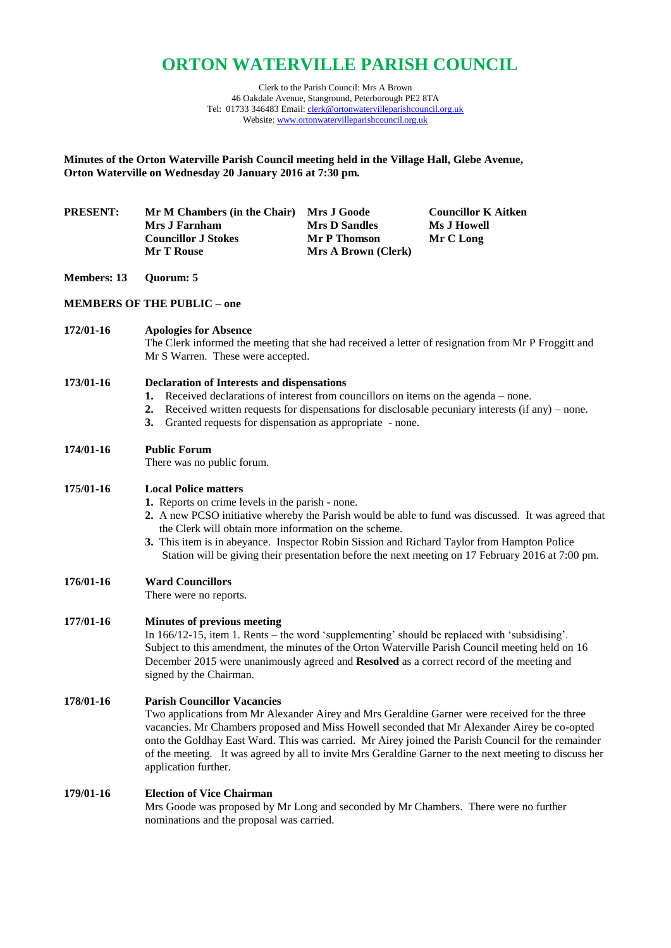# **ORTON WATERVILLE PARISH COUNCIL**

Clerk to the Parish Council: Mrs A Brown 46 Oakdale Avenue, Stanground, Peterborough PE2 8TA Tel: 01733 346483 Email[: clerk@ortonwatervilleparishcouncil.org.uk](mailto:clerk@ortonwatervilleparishcouncil.org.uk) Website: [www.ortonwatervilleparishcouncil.org.uk](http://www.ortonwatervilleparishcouncil.org.uk/)

**Minutes of the Orton Waterville Parish Council meeting held in the Village Hall, Glebe Avenue, Orton Waterville on Wednesday 20 January 2016 at 7:30 pm.**

| <b>PRESENT:</b> | Mr M Chambers (in the Chair) | <b>Mrs J Goode</b>         | <b>Councillor K Aitken</b> |
|-----------------|------------------------------|----------------------------|----------------------------|
|                 | Mrs J Farnham                | <b>Mrs D Sandles</b>       | Ms J Howell                |
|                 | <b>Councillor J Stokes</b>   | Mr P Thomson               | Mr C Long                  |
|                 | <b>Mr T Rouse</b>            | <b>Mrs A Brown (Clerk)</b> |                            |

#### **Members: 13 Quorum: 5**

# **MEMBERS OF THE PUBLIC – one**

# **172/01-16 Apologies for Absence**

The Clerk informed the meeting that she had received a letter of resignation from Mr P Froggitt and Mr S Warren. These were accepted.

#### **173/01-16 Declaration of Interests and dispensations**

- **1.** Received declarations of interest from councillors on items on the agenda none.
- **2.** Received written requests for dispensations for disclosable pecuniary interests (if any) none.
- **3.** Granted requests for dispensation as appropriate none.

# **174/01-16 Public Forum**

There was no public forum.

# **175/01-16 Local Police matters**

- **1.** Reports on crime levels in the parish none.
- **2.** A new PCSO initiative whereby the Parish would be able to fund was discussed. It was agreed that the Clerk will obtain more information on the scheme.
- **3.** This item is in abeyance. Inspector Robin Sission and Richard Taylor from Hampton Police Station will be giving their presentation before the next meeting on 17 February 2016 at 7:00 pm.

# **176/01-16 Ward Councillors**

There were no reports.

# **177/01-16 Minutes of previous meeting**

In 166/12-15, item 1. Rents – the word 'supplementing' should be replaced with 'subsidising'. Subject to this amendment, the minutes of the Orton Waterville Parish Council meeting held on 16 December 2015 were unanimously agreed and **Resolved** as a correct record of the meeting and signed by the Chairman.

#### **178/01-16 Parish Councillor Vacancies**

Two applications from Mr Alexander Airey and Mrs Geraldine Garner were received for the three vacancies. Mr Chambers proposed and Miss Howell seconded that Mr Alexander Airey be co-opted onto the Goldhay East Ward. This was carried. Mr Airey joined the Parish Council for the remainder of the meeting. It was agreed by all to invite Mrs Geraldine Garner to the next meeting to discuss her application further.

#### **179/01-16 Election of Vice Chairman**

Mrs Goode was proposed by Mr Long and seconded by Mr Chambers. There were no further nominations and the proposal was carried.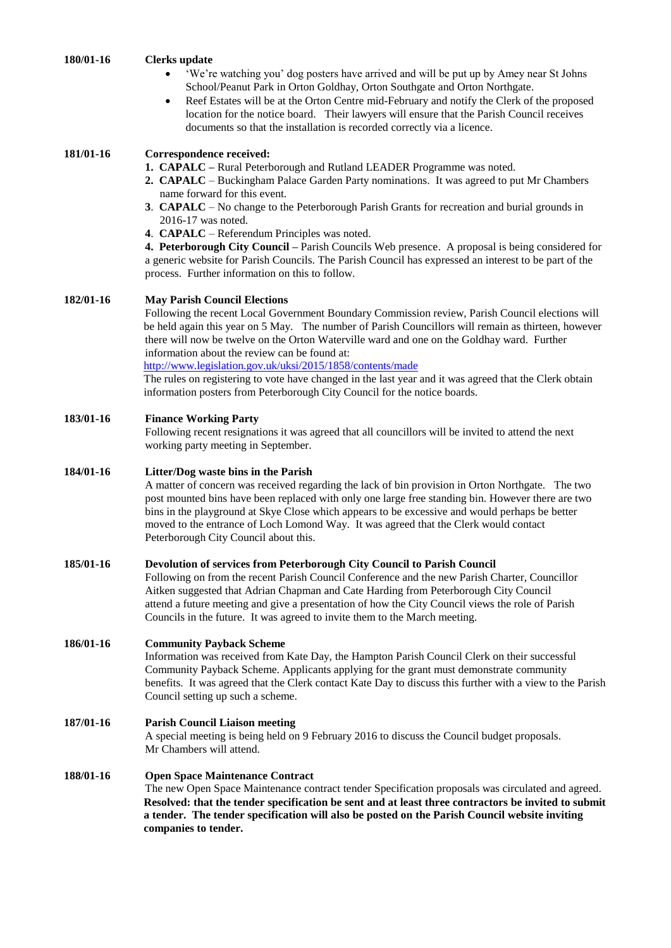**180/01-16 Clerks update**

- 'We're watching you' dog posters have arrived and will be put up by Amey near St Johns School/Peanut Park in Orton Goldhay, Orton Southgate and Orton Northgate.
- Reef Estates will be at the Orton Centre mid-February and notify the Clerk of the proposed location for the notice board. Their lawyers will ensure that the Parish Council receives documents so that the installation is recorded correctly via a licence.

# **181/01-16 Correspondence received:**

- **1. CAPALC –** Rural Peterborough and Rutland LEADER Programme was noted.
- **2. CAPALC** Buckingham Palace Garden Party nominations. It was agreed to put Mr Chambers name forward for this event.
- **3**. **CAPALC** No change to the Peterborough Parish Grants for recreation and burial grounds in 2016-17 was noted.
- **4**. **CAPALC** Referendum Principles was noted.

**4. Peterborough City Council –** Parish Councils Web presence. A proposal is being considered for a generic website for Parish Councils. The Parish Council has expressed an interest to be part of the process. Further information on this to follow.

#### **182/01-16 May Parish Council Elections**

Following the recent Local Government Boundary Commission review, Parish Council elections will be held again this year on 5 May. The number of Parish Councillors will remain as thirteen, however there will now be twelve on the Orton Waterville ward and one on the Goldhay ward. Further information about the review can be found at:

<http://www.legislation.gov.uk/uksi/2015/1858/contents/made>

The rules on registering to vote have changed in the last year and it was agreed that the Clerk obtain information posters from Peterborough City Council for the notice boards.

# **183/01-16 Finance Working Party**

Following recent resignations it was agreed that all councillors will be invited to attend the next working party meeting in September.

#### **184/01-16 Litter/Dog waste bins in the Parish**

A matter of concern was received regarding the lack of bin provision in Orton Northgate. The two post mounted bins have been replaced with only one large free standing bin. However there are two bins in the playground at Skye Close which appears to be excessive and would perhaps be better moved to the entrance of Loch Lomond Way. It was agreed that the Clerk would contact Peterborough City Council about this.

# **185/01-16 Devolution of services from Peterborough City Council to Parish Council**

Following on from the recent Parish Council Conference and the new Parish Charter, Councillor Aitken suggested that Adrian Chapman and Cate Harding from Peterborough City Council attend a future meeting and give a presentation of how the City Council views the role of Parish Councils in the future. It was agreed to invite them to the March meeting.

# **186/01-16 Community Payback Scheme**

Information was received from Kate Day, the Hampton Parish Council Clerk on their successful Community Payback Scheme. Applicants applying for the grant must demonstrate community benefits. It was agreed that the Clerk contact Kate Day to discuss this further with a view to the Parish Council setting up such a scheme.

#### **187/01-16 Parish Council Liaison meeting**

A special meeting is being held on 9 February 2016 to discuss the Council budget proposals. Mr Chambers will attend.

# **188/01-16 Open Space Maintenance Contract**

The new Open Space Maintenance contract tender Specification proposals was circulated and agreed. **Resolved: that the tender specification be sent and at least three contractors be invited to submit a tender. The tender specification will also be posted on the Parish Council website inviting companies to tender.**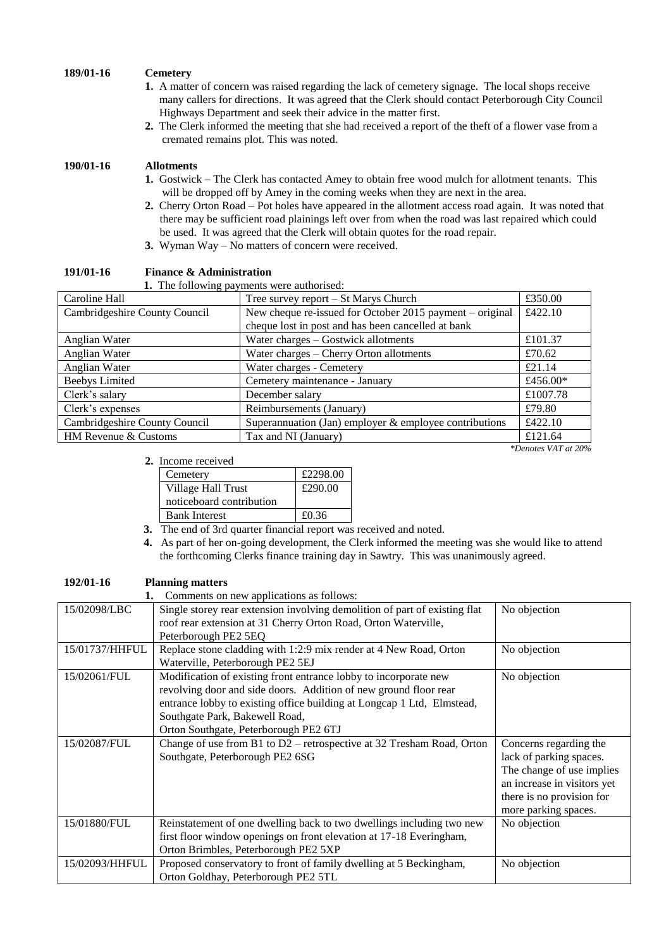# **189/01-16 Cemetery**

- **1.** A matter of concern was raised regarding the lack of cemetery signage. The local shops receive many callers for directions. It was agreed that the Clerk should contact Peterborough City Council Highways Department and seek their advice in the matter first.
- **2.** The Clerk informed the meeting that she had received a report of the theft of a flower vase from a cremated remains plot. This was noted.

# **190/01-16 Allotments**

- **1.** Gostwick The Clerk has contacted Amey to obtain free wood mulch for allotment tenants. This will be dropped off by Amey in the coming weeks when they are next in the area.
- **2.** Cherry Orton Road Pot holes have appeared in the allotment access road again. It was noted that there may be sufficient road plainings left over from when the road was last repaired which could be used. It was agreed that the Clerk will obtain quotes for the road repair.
- **3.** Wyman Way No matters of concern were received.

| <b>1.</b> The following payments were authorised: |                                                           |                     |  |  |
|---------------------------------------------------|-----------------------------------------------------------|---------------------|--|--|
| Caroline Hall                                     | Tree survey report – St Marys Church                      | £350.00             |  |  |
| Cambridgeshire County Council                     | New cheque re-issued for October 2015 payment – original  | £422.10             |  |  |
|                                                   | cheque lost in post and has been cancelled at bank        |                     |  |  |
| Anglian Water                                     | Water charges - Gostwick allotments                       | £101.37             |  |  |
| Anglian Water                                     | Water charges – Cherry Orton allotments                   | £70.62              |  |  |
| Anglian Water                                     | Water charges - Cemetery                                  | £21.14              |  |  |
| <b>Beebys Limited</b>                             | Cemetery maintenance - January                            | £456.00 $*$         |  |  |
| Clerk's salary                                    | December salary                                           | £1007.78            |  |  |
| Clerk's expenses                                  | Reimbursements (January)                                  | £79.80              |  |  |
| Cambridgeshire County Council                     | Superannuation (Jan) employer $\&$ employee contributions | £422.10             |  |  |
| HM Revenue & Customs                              | Tax and NI (January)                                      | £121.64             |  |  |
|                                                   |                                                           | *Denotes VAT at 20% |  |  |

**191/01-16 Finance & Administration** 

#### **2.** Income received

| 110.7110.100             |          |  |
|--------------------------|----------|--|
| Cemetery                 | £2298.00 |  |
| Village Hall Trust       | £290.00  |  |
| noticeboard contribution |          |  |
| <b>Bank Interest</b>     | £0.36    |  |
|                          |          |  |

- **3.** The end of 3rd quarter financial report was received and noted.
- **4.** As part of her on-going development, the Clerk informed the meeting was she would like to attend the forthcoming Clerks finance training day in Sawtry. This was unanimously agreed.

| 192/01-16      | <b>Planning matters</b>                                                    |                             |
|----------------|----------------------------------------------------------------------------|-----------------------------|
|                | Comments on new applications as follows:                                   |                             |
| 15/02098/LBC   | Single storey rear extension involving demolition of part of existing flat | No objection                |
|                | roof rear extension at 31 Cherry Orton Road, Orton Waterville,             |                             |
|                | Peterborough PE2 5EQ                                                       |                             |
| 15/01737/HHFUL | Replace stone cladding with 1:2:9 mix render at 4 New Road, Orton          | No objection                |
|                | Waterville, Peterborough PE2 5EJ                                           |                             |
| 15/02061/FUL   | Modification of existing front entrance lobby to incorporate new           | No objection                |
|                | revolving door and side doors. Addition of new ground floor rear           |                             |
|                | entrance lobby to existing office building at Longcap 1 Ltd, Elmstead,     |                             |
|                | Southgate Park, Bakewell Road,                                             |                             |
|                | Orton Southgate, Peterborough PE2 6TJ                                      |                             |
| 15/02087/FUL   | Change of use from B1 to D2 – retrospective at 32 Tresham Road, Orton      | Concerns regarding the      |
|                | Southgate, Peterborough PE2 6SG                                            | lack of parking spaces.     |
|                |                                                                            | The change of use implies   |
|                |                                                                            | an increase in visitors yet |
|                |                                                                            | there is no provision for   |
|                |                                                                            | more parking spaces.        |
| 15/01880/FUL   | Reinstatement of one dwelling back to two dwellings including two new      | No objection                |
|                | first floor window openings on front elevation at 17-18 Everingham,        |                             |
|                | Orton Brimbles, Peterborough PE2 5XP                                       |                             |
| 15/02093/HHFUL | Proposed conservatory to front of family dwelling at 5 Beckingham,         | No objection                |
|                | Orton Goldhay, Peterborough PE2 5TL                                        |                             |